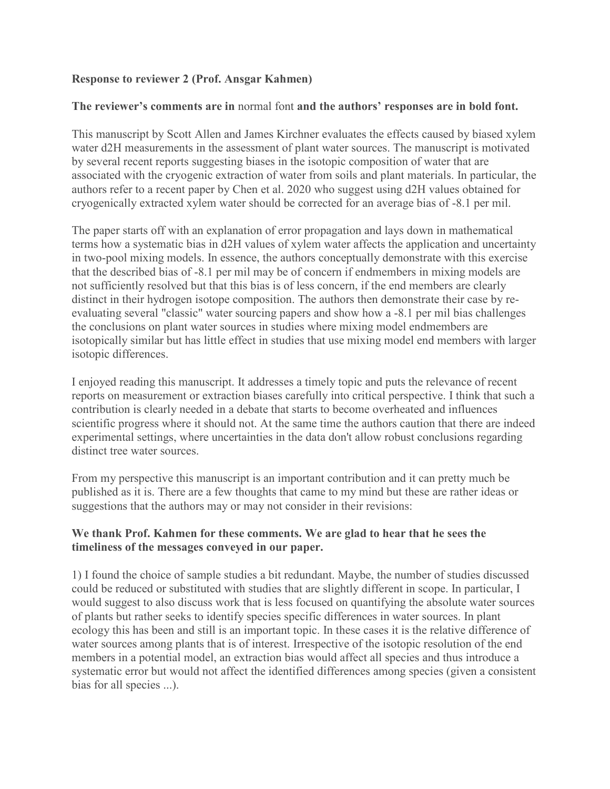## **Response to reviewer 2 (Prof. Ansgar Kahmen)**

## **The reviewer's comments are in** normal font **and the authors' responses are in bold font.**

This manuscript by Scott Allen and James Kirchner evaluates the effects caused by biased xylem water d2H measurements in the assessment of plant water sources. The manuscript is motivated by several recent reports suggesting biases in the isotopic composition of water that are associated with the cryogenic extraction of water from soils and plant materials. In particular, the authors refer to a recent paper by Chen et al. 2020 who suggest using d2H values obtained for cryogenically extracted xylem water should be corrected for an average bias of -8.1 per mil.

The paper starts off with an explanation of error propagation and lays down in mathematical terms how a systematic bias in d2H values of xylem water affects the application and uncertainty in two-pool mixing models. In essence, the authors conceptually demonstrate with this exercise that the described bias of -8.1 per mil may be of concern if endmembers in mixing models are not sufficiently resolved but that this bias is of less concern, if the end members are clearly distinct in their hydrogen isotope composition. The authors then demonstrate their case by reevaluating several "classic" water sourcing papers and show how a -8.1 per mil bias challenges the conclusions on plant water sources in studies where mixing model endmembers are isotopically similar but has little effect in studies that use mixing model end members with larger isotopic differences.

I enjoyed reading this manuscript. It addresses a timely topic and puts the relevance of recent reports on measurement or extraction biases carefully into critical perspective. I think that such a contribution is clearly needed in a debate that starts to become overheated and influences scientific progress where it should not. At the same time the authors caution that there are indeed experimental settings, where uncertainties in the data don't allow robust conclusions regarding distinct tree water sources.

From my perspective this manuscript is an important contribution and it can pretty much be published as it is. There are a few thoughts that came to my mind but these are rather ideas or suggestions that the authors may or may not consider in their revisions:

## **We thank Prof. Kahmen for these comments. We are glad to hear that he sees the timeliness of the messages conveyed in our paper.**

1) I found the choice of sample studies a bit redundant. Maybe, the number of studies discussed could be reduced or substituted with studies that are slightly different in scope. In particular, I would suggest to also discuss work that is less focused on quantifying the absolute water sources of plants but rather seeks to identify species specific differences in water sources. In plant ecology this has been and still is an important topic. In these cases it is the relative difference of water sources among plants that is of interest. Irrespective of the isotopic resolution of the end members in a potential model, an extraction bias would affect all species and thus introduce a systematic error but would not affect the identified differences among species (given a consistent bias for all species ...).